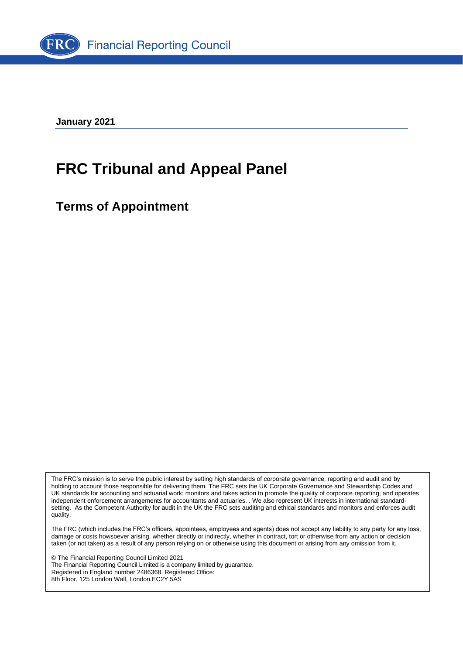

**January 2021**

# **FRC Tribunal and Appeal Panel**

**Terms of Appointment**

The FRC's mission is to serve the public interest by setting high standards of corporate governance, reporting and audit and by holding to account those responsible for delivering them. The FRC sets the UK Corporate Governance and Stewardship Codes and UK standards for accounting and actuarial work; monitors and takes action to promote the quality of corporate reporting; and operates independent enforcement arrangements for accountants and actuaries. . We also represent UK interests in international standardsetting. As the Competent Authority for audit in the UK the FRC sets auditing and ethical standards and monitors and enforces audit quality.

The FRC (which includes the FRC's officers, appointees, employees and agents) does not accept any liability to any party for any loss, damage or costs howsoever arising, whether directly or indirectly, whether in contract, tort or otherwise from any action or decision taken (or not taken) as a result of any person relying on or otherwise using this document or arising from any omission from it.

© The Financial Reporting Council Limited 2021 The Financial Reporting Council Limited is a company limited by guarantee. Registered in England number 2486368. Registered Office: 8th Floor, 125 London Wall, London EC2Y 5AS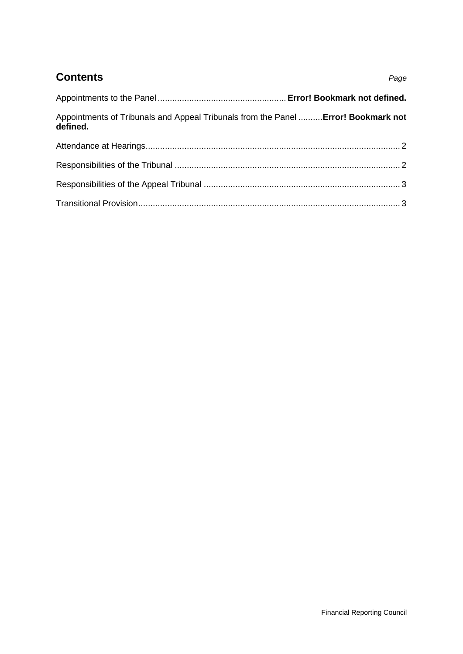## **Contents** *Page*

| Appointments of Tribunals and Appeal Tribunals from the Panel  Error! Bookmark not<br>defined. |  |
|------------------------------------------------------------------------------------------------|--|
|                                                                                                |  |
|                                                                                                |  |
|                                                                                                |  |
|                                                                                                |  |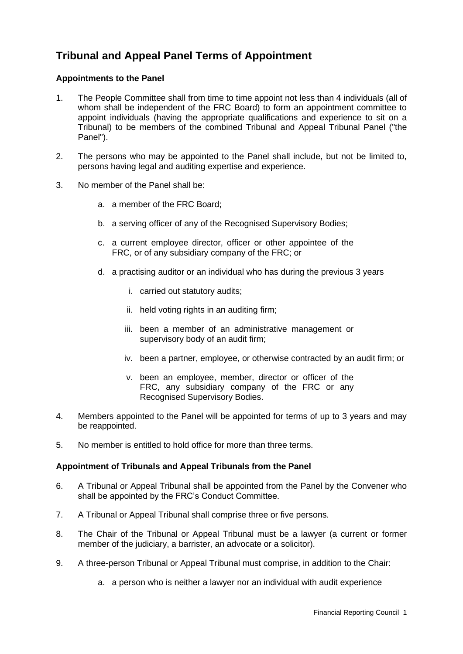## **Tribunal and Appeal Panel Terms of Appointment**

#### **Appointments to the Panel**

- 1. The People Committee shall from time to time appoint not less than 4 individuals (all of whom shall be independent of the FRC Board) to form an appointment committee to appoint individuals (having the appropriate qualifications and experience to sit on a Tribunal) to be members of the combined Tribunal and Appeal Tribunal Panel ("the Panel").
- 2. The persons who may be appointed to the Panel shall include, but not be limited to, persons having legal and auditing expertise and experience.
- 3. No member of the Panel shall be:
	- a. a member of the FRC Board;
	- b. a serving officer of any of the Recognised Supervisory Bodies;
	- c. a current employee director, officer or other appointee of the FRC, or of any subsidiary company of the FRC; or
	- d. a practising auditor or an individual who has during the previous 3 years
		- i. carried out statutory audits;
		- ii. held voting rights in an auditing firm;
		- iii. been a member of an administrative management or supervisory body of an audit firm;
		- iv. been a partner, employee, or otherwise contracted by an audit firm; or
		- v. been an employee, member, director or officer of the FRC, any subsidiary company of the FRC or any Recognised Supervisory Bodies.
- 4. Members appointed to the Panel will be appointed for terms of up to 3 years and may be reappointed.
- 5. No member is entitled to hold office for more than three terms.

#### **Appointment of Tribunals and Appeal Tribunals from the Panel**

- 6. A Tribunal or Appeal Tribunal shall be appointed from the Panel by the Convener who shall be appointed by the FRC's Conduct Committee.
- 7. A Tribunal or Appeal Tribunal shall comprise three or five persons.
- 8. The Chair of the Tribunal or Appeal Tribunal must be a lawyer (a current or former member of the judiciary, a barrister, an advocate or a solicitor).
- 9. A three-person Tribunal or Appeal Tribunal must comprise, in addition to the Chair:
	- a. a person who is neither a lawyer nor an individual with audit experience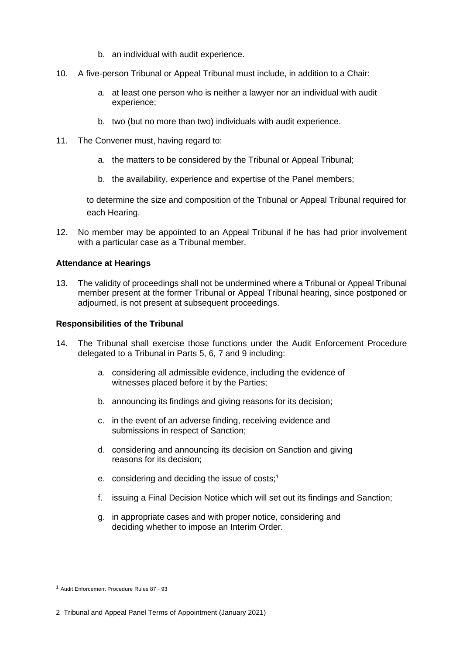- b. an individual with audit experience.
- 10. A five-person Tribunal or Appeal Tribunal must include, in addition to a Chair:
	- a. at least one person who is neither a lawyer nor an individual with audit experience;
	- b. two (but no more than two) individuals with audit experience.
- 11. The Convener must, having regard to:
	- a. the matters to be considered by the Tribunal or Appeal Tribunal;
	- b. the availability, experience and expertise of the Panel members;

to determine the size and composition of the Tribunal or Appeal Tribunal required for each Hearing.

12. No member may be appointed to an Appeal Tribunal if he has had prior involvement with a particular case as a Tribunal member.

#### **Attendance at Hearings**

13. The validity of proceedings shall not be undermined where a Tribunal or Appeal Tribunal member present at the former Tribunal or Appeal Tribunal hearing, since postponed or adjourned, is not present at subsequent proceedings.

#### **Responsibilities of the Tribunal**

- 14. The Tribunal shall exercise those functions under the Audit Enforcement Procedure delegated to a Tribunal in Parts 5, 6, 7 and 9 including:
	- a. considering all admissible evidence, including the evidence of witnesses placed before it by the Parties;
	- b. announcing its findings and giving reasons for its decision;
	- c. in the event of an adverse finding, receiving evidence and submissions in respect of Sanction;
	- d. considering and announcing its decision on Sanction and giving reasons for its decision;
	- e. considering and deciding the issue of costs;<sup>1</sup>
	- f. issuing a Final Decision Notice which will set out its findings and Sanction;
	- g. in appropriate cases and with proper notice, considering and deciding whether to impose an Interim Order.

<sup>1</sup> Audit Enforcement Procedure Rules 87 - 93

<sup>2</sup> Tribunal and Appeal Panel Terms of Appointment (January 2021)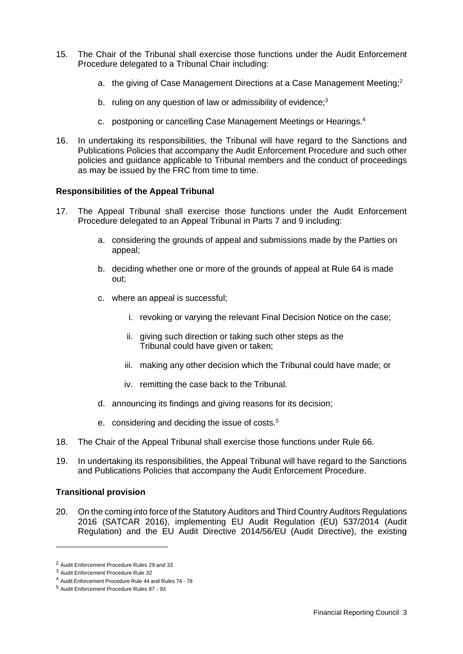- 15. The Chair of the Tribunal shall exercise those functions under the Audit Enforcement Procedure delegated to a Tribunal Chair including:
	- a. the giving of Case Management Directions at a Case Management Meeting;<sup>2</sup>
	- b. ruling on any question of law or admissibility of evidence;<sup>3</sup>
	- c. postponing or cancelling Case Management Meetings or Hearings.<sup>4</sup>
- 16. In undertaking its responsibilities, the Tribunal will have regard to the Sanctions and Publications Policies that accompany the Audit Enforcement Procedure and such other policies and guidance applicable to Tribunal members and the conduct of proceedings as may be issued by the FRC from time to time.

#### **Responsibilities of the Appeal Tribunal**

- 17. The Appeal Tribunal shall exercise those functions under the Audit Enforcement Procedure delegated to an Appeal Tribunal in Parts 7 and 9 including:
	- a. considering the grounds of appeal and submissions made by the Parties on appeal;
	- b. deciding whether one or more of the grounds of appeal at Rule 64 is made out;
	- c. where an appeal is successful;
		- i. revoking or varying the relevant Final Decision Notice on the case;
		- ii. giving such direction or taking such other steps as the Tribunal could have given or taken;
		- iii. making any other decision which the Tribunal could have made; or
		- iv. remitting the case back to the Tribunal.
	- d. announcing its findings and giving reasons for its decision;
	- e. considering and deciding the issue of costs.<sup>5</sup>
- 18. The Chair of the Appeal Tribunal shall exercise those functions under Rule 66.
- 19. In undertaking its responsibilities, the Appeal Tribunal will have regard to the Sanctions and Publications Policies that accompany the Audit Enforcement Procedure.

#### **Transitional provision**

20. On the coming into force of the Statutory Auditors and Third Country Auditors Regulations 2016 (SATCAR 2016), implementing EU Audit Regulation (EU) 537/2014 (Audit Regulation) and the EU Audit Directive 2014/56/EU (Audit Directive), the existing

<sup>2</sup> Audit Enforcement Procedure Rules 29 and 33

<sup>3</sup> Audit Enforcement Procedure Rule 32

<sup>4</sup> Audit Enforcement Procedure Rule 44 and Rules 74 - 78

<sup>5</sup> Audit Enforcement Procedure Rules 87 - 93